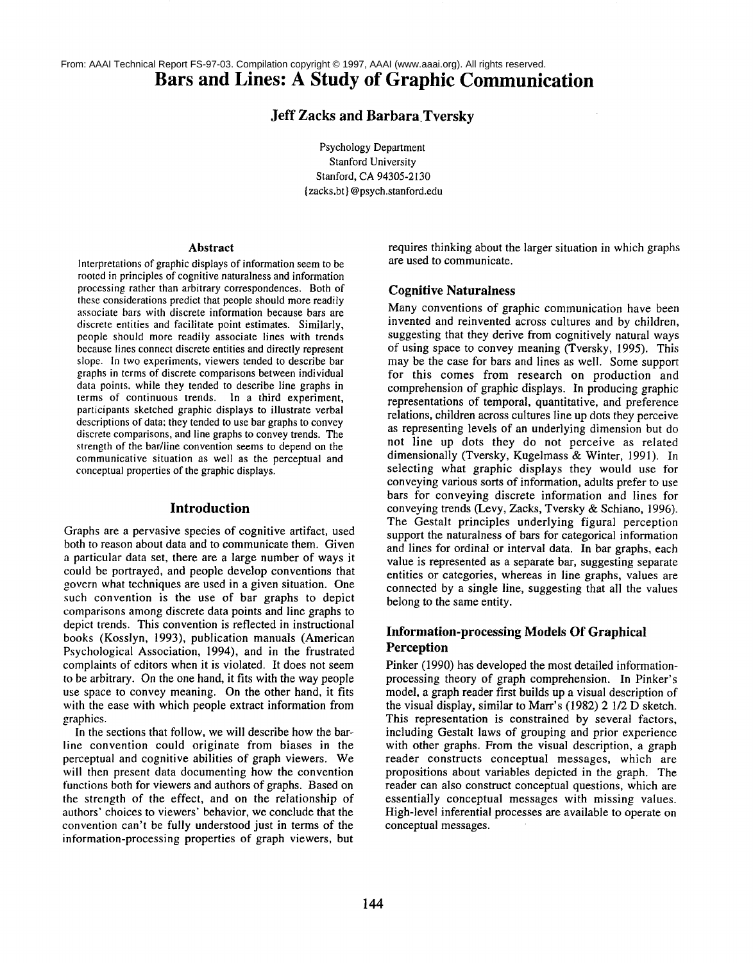**Bars and Lines: A Study of Graphic Communication** From: AAAI Technical Report FS-97-03. Compilation copyright © 1997, AAAI (www.aaai.org). All rights reserved.

# **Jeff Zacks and** Barbara.Tversky

Psychology Department Stanford University Stanford, CA 94305-2130 {zacks,bt} @psych.stanford.edu

#### **Abstract**

Interpretations of graphic displays of information seem to be rooted in principles of cognitive naturalness and information processing rather than arbitrary correspondences. Both of these considerations predict that people should more readily associate bars with discrete information because bars are discrete entities and facilitate point estimates. Similarly, people should more readily associate lines with trends because lines connect discrete entities and directly represent slope. In two experiments, viewers tended to describe bar graphs in terms of discrete comparisons between individual data points, while they tended to describe line graphs in terms of continuous trends. In a third experiment, participants sketched graphic displays to illustrate verbal descriptions of data; they tended to use bar graphs to convey discrete comparisons, and line graphs to convey trends. The strength of the bar/line convention seems to depend on the communicative situation as well as the perceptual and conceptual properties of the graphic displays.

### **Introduction**

Graphs are a pervasive species of cognitive artifact, used both to reason about data and to communicate them. Given a particular data set, there are a large number of ways it could be portrayed, and people develop conventions that govern what techniques are used in a given situation. One such convention is the use of bar graphs to depict comparisons among discrete data points and line graphs to depict trends. This convention is reflected in instructional books (Kosslyn, 1993), publication manuals (American Psychological Association, 1994), and in the frustrated complaints of editors when it is violated. It does not seem to be arbitrary. On the one hand, it fits with the way people use space to convey meaning. On the other hand, it fits with the ease with which people extract information from graphics.

In the sections that follow, we will describe how the barline convention could originate from biases in the perceptual and cognitive abilities of graph viewers. We will then present data documenting how the convention functions both for viewers and authors of graphs. Based on the strength of the effect, and on the relationship of authors' choices to viewers' behavior, we conclude that the convention can't be fully understood just in terms of the information-processing properties of graph viewers, but requires thinking about the larger situation in which graphs are used to communicate.

### **Cognitive Naturalness**

Many conventions of graphic communication have been invented and reinvented across cultures and by children, suggesting that they derive from cognitively natural ways of using space to convey meaning (Tversky, 1995). This may be the case for bars and lines as well. Some support for this comes from research on production and comprehension of graphic displays. In producing graphic representations of temporal, quantitative, and preference relations, children across cultures line up dots they perceive as representing levels of an underlying dimension but do not line up dots they do not perceive as related dimensionally (Tversky, Kugelmass & Winter, 1991). In selecting what graphic displays they would use for conveying various sorts of information, adults prefer to use bars for conveying discrete information and lines for conveying trends (Levy, Zacks, Tversky & Schiano, 1996). The Gestalt principles underlying figural perception support the naturalness of bars for categorical information and lines for ordinal or interval data. In bar graphs, each value is represented as a separate bar, suggesting separate entities or categories, whereas in line graphs, values are connected by a single line, suggesting that all the values belong to the same entity.

# **Information-processing Models Of Graphical Perception**

Pinker (1990) has developed the most detailed informationprocessing theory of graph comprehension. In Pinker's model, a graph reader first builds up a visual description of the visual display, similar to Marr's (1982) 2 1/2 D sketch. This representation is constrained by several factors, including Gestalt laws of grouping and prior experience with other graphs. From the visual description, a graph reader constructs conceptual messages, which are propositions about variables depicted in the graph. The reader can also construct conceptual questions, which are essentially conceptual messages with missing values. High-level inferential processes are available to operate on conceptual messages.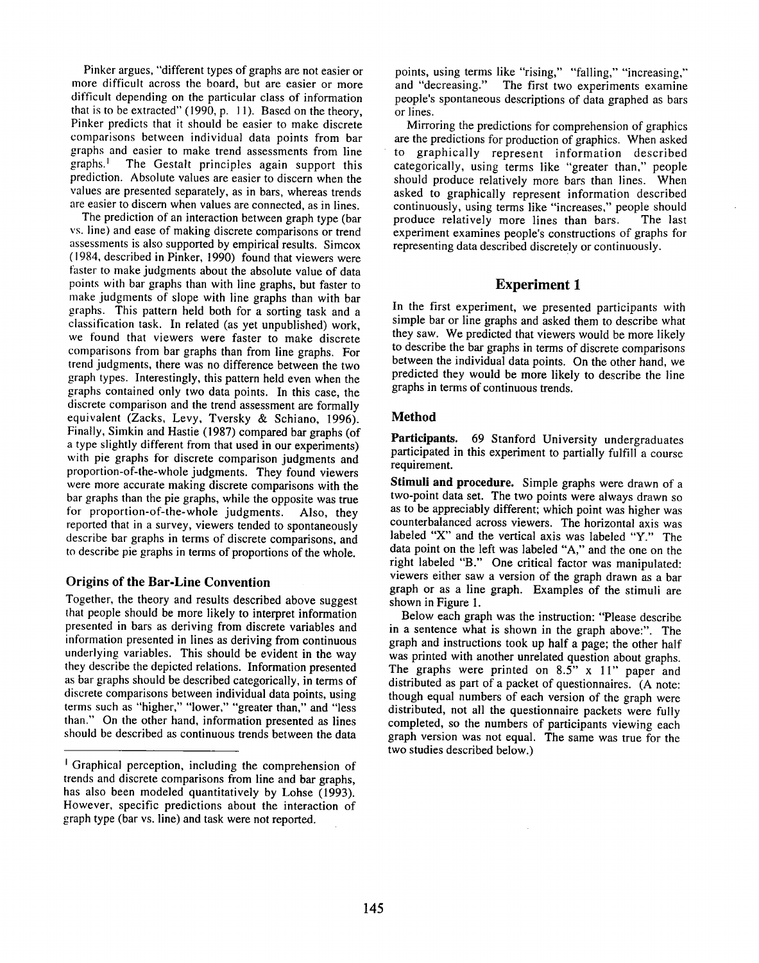Pinker argues, "different types of graphs are not easier or more difficult across the board, but are easier or more difficult depending on the particular class of information that is to be extracted" (1990, p. 11). Based on the theory, Pinker predicts that it should be easier to make discrete comparisons between individual data points from bar graphs and easier to make trend assessments from line  $graphs<sup>1</sup>$  The Gestalt principles again support this prediction. Absolute values are easier to discern when the values are presented separately, as in bars, whereas trends are easier to discern when values are connected, as in lines.

The prediction of an interaction between graph type (bar vs. line) and ease of making discrete comparisons or trend assessments is also supported by empirical results. Simcox (1984, described in Pinker, 1990) found that viewers were faster to make judgments about the absolute value of data points with bar graphs than with line graphs, but faster to make judgments of slope with line graphs than with bar graphs. This pattern held both for a sorting task and a classification task. In related (as yet unpublished) work, we found that viewers were faster to make discrete comparisons from bar graphs than from line graphs. For trend judgments, there was no difference between the two graph types. Interestingly, this pattern held even when the graphs contained only two data points. In this case, the discrete comparison and the trend assessment are formally equivalent (Zacks, Levy, Tversky & Schiano, 1996). Finally, Simkin and Hastie (1987) compared bar graphs (of a type slightly different from that used in our experiments) with pie graphs for discrete comparison judgments and proportion-of-the-whole judgments. They found viewers were more accurate making discrete comparisons with the bar graphs than the pie graphs, while the opposite was true for proportion-of-the-whole judgments. Also, they reported that in a survey, viewers tended to spontaneously describe bar graphs in terms of discrete comparisons, and to describe pie graphs in terms of proportions of the whole.

# **Origins of the Bar-Line Convention**

Together, the theory and results described above suggest that people should be more likely to interpret information presented in bars as deriving from discrete variables and information presented in lines as deriving from continuous underlying variables. This should be evident in the way they describe the depicted relations. Information presented as bar graphs should be described categorically, in terms of discrete comparisons between individual data points, using terms such as "higher," "lower," "greater than," and "less than." On the other hand, information presented as lines should be described as continuous trends between the data

points, using terms like "rising," "falling," "increasing," and "decreasing." The first two experiments examine The first two experiments examine people's spontaneous descriptions of data graphed as bars or lines.

Mirroring the predictions for comprehension of graphics are the predictions for production of graphics. When asked to graphically represent information described categorically, using terms like "greater than," people should produce relatively more bars than lines. When asked to graphically represent information described continuously, using terms like "increases," people should produce relatively more lines than bars. The last experiment examines people's constructions of graphs for representing data described discretely or continuously.

# **Experiment 1**

In the first experiment, we presented participants with simple bar or line graphs and asked them to describe what they saw. We predicted that viewers would be more likely to describe the bar graphs in terms of discrete comparisons between the individual data points. On the other hand, we predicted they would be more likely to describe the line graphs in terms of continuous trends.

### **Method**

Participants. 69 Stanford University undergraduates participated in this experiment to partially fulfill a course requirement.

Stimuli **and procedure.** Simple graphs were drawn of a two-point data set. The two points were always drawn so as to be appreciably different; which point was higher was counterbalanced across viewers. The horizontal axis was labeled "X" and the vertical axis was labeled "Y." The data point on the left was labeled "A," and the one on the right labeled "B." One critical factor was manipulated: viewers either saw a version of the graph drawn as a bar graph or as a line graph. Examples of the stimuli are shown in Figure 1.

Below each graph was the instruction: "Please describe in a sentence what is shown in the graph above:". The graph and instructions took up half a page; the other half was printed with another unrelated question about graphs. The graphs were printed on 8.5" x 11" paper and distributed as part of a packet of questionnaires. (A note: though equal numbers of each version of the graph were distributed, not all the questionnaire packets were fully completed, so the numbers of participants viewing each graph version was not equal. The same was true for the two studies described below.)

<sup>&</sup>lt;sup>1</sup> Graphical perception, including the comprehension of trends and discrete comparisons from line and bar graphs, has also been modeled quantitatively by Lohse (1993). However, specific predictions about the interaction of graph type (bar vs. line) and task were not reported.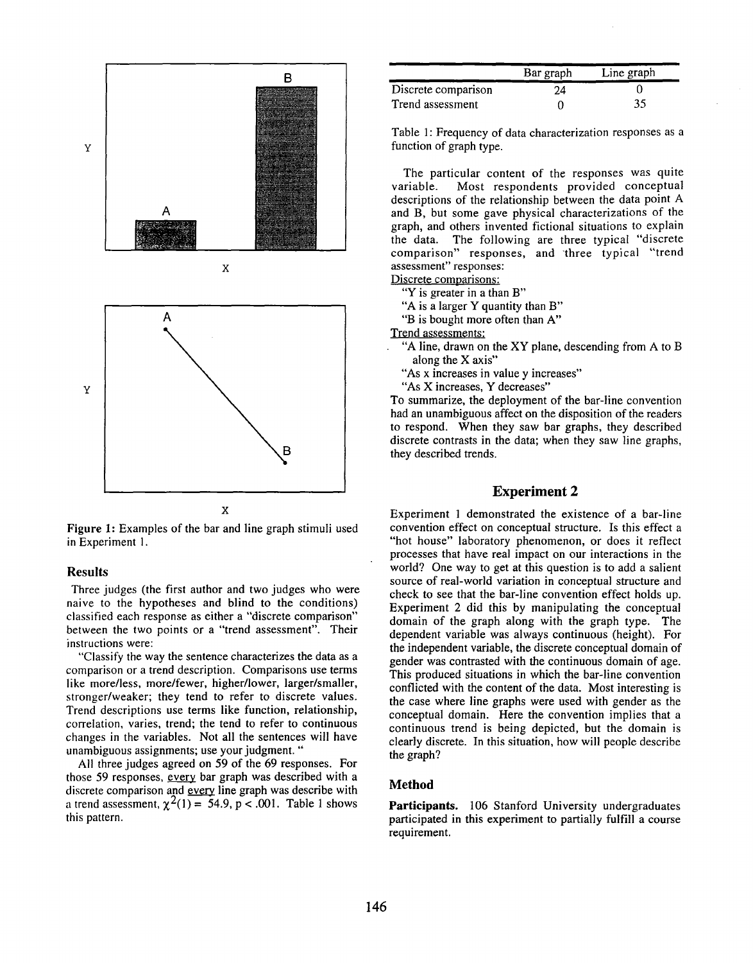

Figure 1: Examples of the bar and line graph stimuli used in Experiment I.

#### Results

Three judges (the first author and two judges who were naive to the hypotheses and blind to the conditions) classified each response as either a "discrete comparison" between the two points or a "trend assessment". Their instructions were:

"Classify the way the sentence characterizes the data as a comparison or a trend description. Comparisons use terms like more/less, more/fewer, higher/lower, larger/smaller, stronger/weaker; they tend to refer to discrete values. Trend descriptions use terms like function, relationship, correlation, varies, trend; the tend to refer to continuous changes in the variables. Not all the sentences will have unambiguous assignments; use your judgment. "

All three judges agreed on 59 of the 69 responses. For those 59 responses, every bar graph was described with a discrete comparison and every line graph was describe with a trend assessment,  $\chi^2(1) = 54.9$ , p < .001. Table 1 shows this pattern.

|                     | Bar graph | Line graph |
|---------------------|-----------|------------|
| Discrete comparison | 24        |            |
| Trend assessment    |           | 35         |

Table **1:** Frequency of data characterization responses as **a** function of graph type.

The particular content of the responses was quite variable. Most respondents provided conceptual descriptions of the relationship between the data point A and B, but some gave physical characterizations of the graph, and others invented fictional situations to explain the data. The following are three typical "discrete comparison" responses, and-three typical "trend assessment" responses:

Discrete comparisons:

"Y is greater in a than B"

"A is a larger Y quantity than B"

"B is bought more often than A"

Trend assessments:

- "A line, drawn on the XY plane, descending from A to B along the X axis"
	- "As x increases in value y increases"

"As X increases, Y decreases"

To summarize, the deployment of the bar-line convention had an unambiguous affect on the disposition of the readers to respond. When they saw bar graphs, they described discrete contrasts in the data; when they saw line graphs, they described trends.

# **Experiment 2**

Experiment 1 demonstrated the existence of a bar-line convention effect on conceptual structure. Is this effect a "hot house" laboratory phenomenon, or does it reflect processes that have real impact on our interactions in the world? One way to get at this question is to add a salient source of real-world variation in conceptual structure and check to see that the bar-line convention effect holds up. Experiment 2 did this by manipulating the conceptual domain of the graph along with the graph type. The dependent variable was always continuous (height). For the independent variable, the discrete conceptual domain of gender was contrasted with the continuous domain of age. This produced situations in which the bar-line convention conflicted with the content of the data. Most interesting is the case where line graphs were used with gender as the conceptual domain. Here the convention implies that a continuous trend is being depicted, but the domain is clearly discrete. In this situation, how will people describe the graph?

# **Method**

Participants. 106 Stanford University undergraduates participated in this experiment to partially fulfill a course requirement.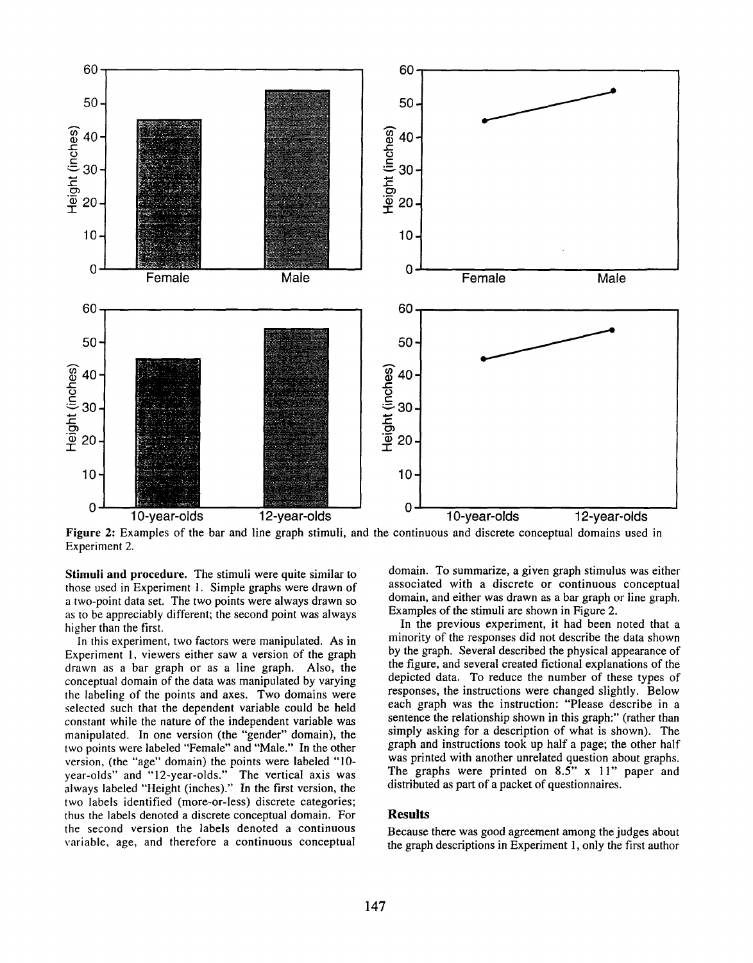

Figure 2: Examples of the bar and line graph stimuli, and the continuous and discrete conceptual domains used in Experiment 2.

Stimuli and procedure. The stimuli were quite similar to those used in Experiment 1. Simple graphs were drawn of a two-point data set. The two points were always drawn so as to be appreciably different; the second point was always higher than the first.

In this experiment, two factors were manipulated. As in Experiment I, viewers either saw a version of the graph drawn as a bar graph or as a line graph. Also, the conceptual domain of the data was manipulated by varying the labeling of the points and axes. Two domains were selected such that the dependent variable could be held constant while the nature of the independent variable was manipulated. In one version (the "gender" domain), the two points were labeled "Female" and "Male." In the other version, (the "age" domain) the points were labeled "10 year-olds" and "12-year-olds." The vertical axis was always labeled "Height (inches)." In the first version, the two labels identified (more-or-less) discrete categories; thus the labels denoted a discrete conceptual domain. For the second version the labels denoted a continuous variable, age, and therefore a continuous conceptual

domain. To summarize, a given graph stimulus was either associated with a discrete or continuous conceptual domain, and either was drawn as a bar graph or line graph. Examples of the stimuli are shown in Figure 2.

In the previous experiment, it had been noted that a minority of the responses did not describe the data shown by the graph. Several described the physical appearance of the figure, and several created fictional explanations of the depicted data. To reduce the number of these types of responses, the instructions were changed slightly. Below each graph was the instruction: "Please describe in a sentence the relationship shown in this graph:" (rather than simply asking for a description of what is shown). The graph and instructions took up half a page; the other half was printed with another unrelated question about graphs. The graphs were printed on 8.5" x 11" paper and distributed as part of a packet of questionnaires.

# Results

Because there was good agreement among the judges about the graph descriptions in Experiment 1,only the first author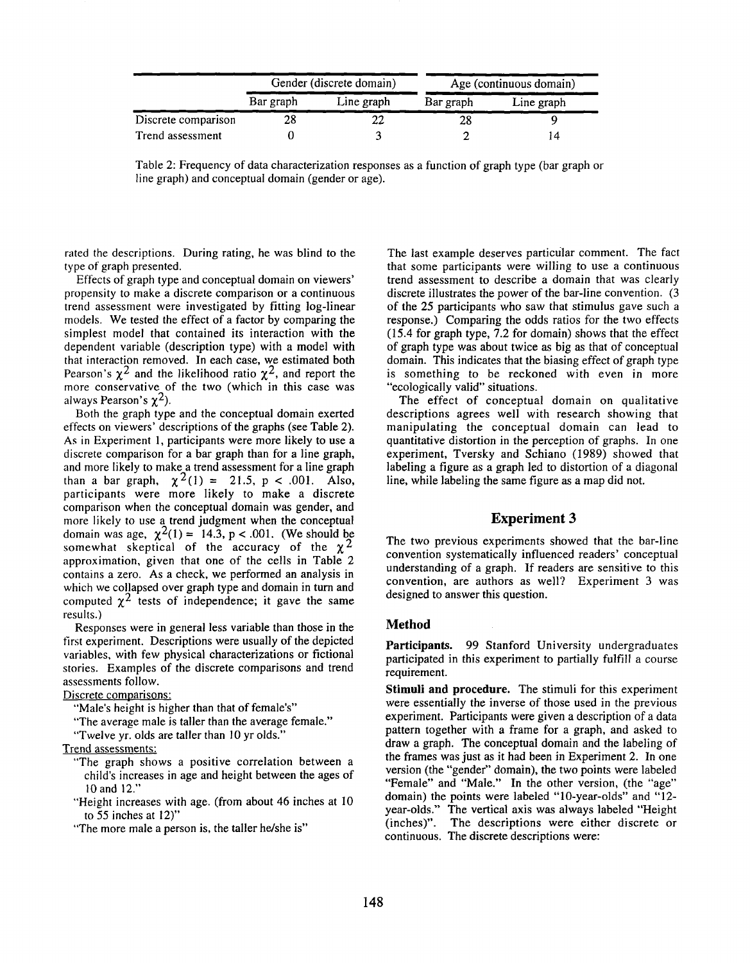|                     | Gender (discrete domain) |            | Age (continuous domain) |            |
|---------------------|--------------------------|------------|-------------------------|------------|
|                     | Bar graph                | Line graph | Bar graph               | Line graph |
| Discrete comparison | 28                       |            |                         |            |
| Trend assessment    |                          |            |                         | 14         |

Table 2: Frequency of data characterization responses as a function of graph type (bar graph or line graph) and conceptual domain (gender or age).

rated the descriptions. During rating, he was blind to the type of graph presented.

Effects of graph type and conceptual domain on viewers' propensity to make a discrete comparison or a continuous trend assessment were investigated by fitting log-linear models. We tested the effect of a factor by comparing the simplest model that contained its interaction with the dependent variable (description type) with a model with that interaction removed. In each case, we estimated both Pearson's  $\chi^2$  and the likelihood ratio  $\chi^2$ , and report the more conservative of the two (which in this case was always Pearson's  $\chi^2$ ).

Both the graph type and the conceptual domain exerted effects on viewers' descriptions of the graphs (see Table 2). As in Experiment 1, participants were more likely to use a discrete comparison for a bar graph than for a line graph, and more likely to make a trend assessment for a line graph than a bar graph,  $\chi^2(1) = 21.5$ , p < .001. Also, participants were more likely to make a discrete comparison when the conceptual domain was gender, and more likely to use a trend judgment when the conceptual domain was age,  $\chi^2(1) = 14.3$ , p < .001. (We should be somewhat skeptical of the accuracy of the  $\chi^2$ approximation, given that one of the cells in Table 2 contains a zero. As a check, we performed an analysis in which we collapsed over graph type and domain in turn and computed  $\chi^2$  tests of independence; it gave the same results.)

Responses were in general less variable than those in the first experiment. Descriptions were usually of the depicted variables, with few physical characterizations or fictional stories. Examples of the discrete comparisons and trend assessments follow.

Discrete comparisons:

"Male's height is higher than that of female's"

"The average male is taller than the average female."

"Twelve yr. olds are taller than 10 yr olds."

Trend assessments:

- "The graph shows a positive correlation between a child's increases in age and height between the ages of 10 and 12."
- "Height increases with age. (from about 46 inches at 10 to 55 inches at 12)"
- "The more male a person is, the taller he/she is"

The last example deserves particular comment. The fact that some participants were willing to use a continuous trend assessment to describe a domain that was clearly discrete illustrates the power of the bar-line convention. (3 of the 25 participants who saw that stimulus gave such a response.) Comparing the odds ratios for the two effects (15.4 for graph type, 7.2 for domain) shows that the effect of graph type was about twice as big as that of conceptual domain. This indicates that the biasing effect of graph type is something to be reckoned with even in more "ecologically valid" situations.

The effect of conceptual domain on qualitative descriptions agrees well with research showing that manipulating the conceptual domain can lead to quantitative distortion in the perception of graphs. In one experiment, Tversky and Schiano (1989) showed that labeling a figure as a graph led to distortion of a diagonal line, while labeling the same figure as a map did not.

### Experiment 3

The two previous experiments showed that the bar-line convention systematically influenced readers' conceptual understanding of a graph. If readers are sensitive to this convention, are authors as well? Experiment 3 was designed to answer this question.

#### **Method**

**Participants.** 99 Stanford University undergraduates participated in this experiment to partially fulfill a course requirement.

**Stimuli and** procedure. The stimuli for this experiment were essentially the inverse of those used in the previous experiment. Participants were given a description of a data pattern together with a frame for a graph, and asked to draw a graph. The conceptual domain and the labeling of the frames was just as it had been in Experiment 2. In one version (the "gender" domain), the two points were labeled "Female" and "Male." In the other version, (the "age" domain) the points were labeled "10-year-olds" and "12 year-olds." The vertical axis was always labeled "Height (inches)". The descriptions were either discrete continuous. The discrete descriptions were: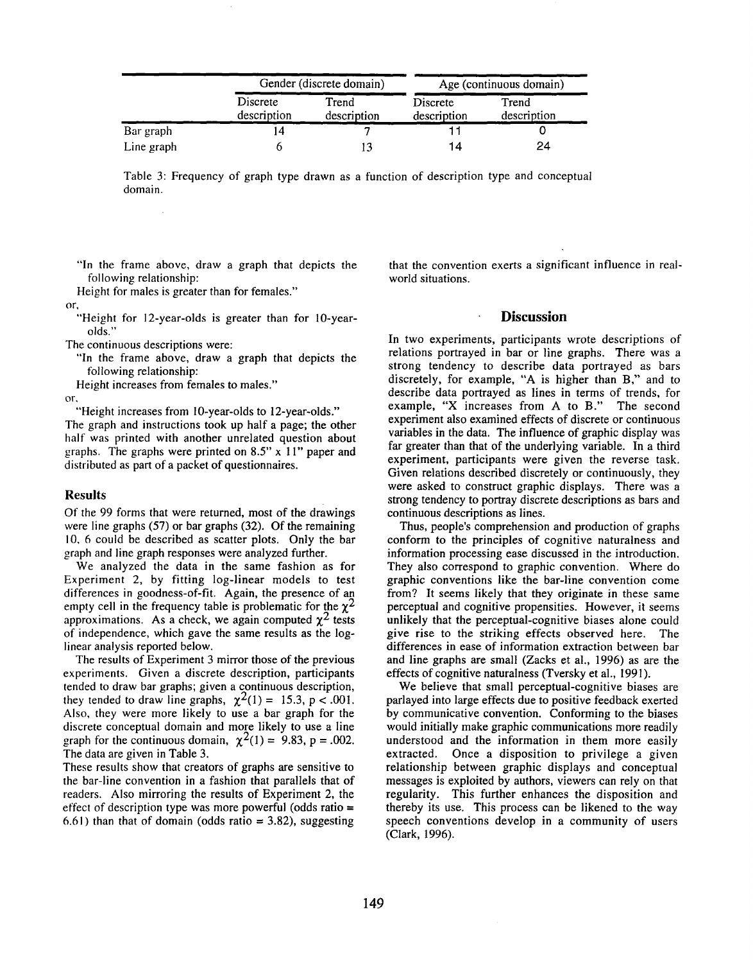|            | Gender (discrete domain) |                      | Age (continuous domain) |                      |
|------------|--------------------------|----------------------|-------------------------|----------------------|
|            | Discrete<br>description  | Trend<br>description | Discrete<br>description | Trend<br>description |
| Bar graph  | 14                       |                      |                         |                      |
| Line graph |                          |                      | 14                      | 24                   |

Table 3: Frequency of graph type drawn as a function of description type and conceptual domain.

"In the frame above, draw a graph that depicts the following relationship:

Height for males is greater than for females."

or,

"Height for 12-year-olds is greater than for 10-yearolds."

The continuous descriptions were:

"In the frame above, draw a graph that depicts the following relationship:

Height increases from females to males."

Or,

"Height increases from 10-year-olds to 12-year-olds."

The graph and instructions took up half a page; the other half was printed with another unrelated question about graphs. The graphs were printed on 8.5" x I I" paper and distributed as part of a packet of questionnaires.

#### Results

Of the 99 forms that were returned, most of the drawings were line graphs (57) or bar graphs (32). Of the remaining 10, 6 could be described as scatter plots. Only the bar graph and line graph responses were analyzed further.

We analyzed the data in the same fashion as for Experiment 2, by fitting log-linear models to test differences in goodness-of-fit. Again, the presence of an empty cell in the frequency table is problematic for the  $\chi^2$ approximations. As a check, we again computed  $\chi^2$  tests of independence, which gave the same results as the loglinear analysis reported below.

The results of Experiment 3 mirror those of the previous experiments. Given a discrete description, participants tended to draw bar graphs; given a continuous description, they tended to draw line graphs,  $\chi^2(1) = 15.3$ , p < .001. Also, they were more likely to use a bar graph for the discrete conceptual domain and more likely to use a line graph for the continuous domain,  $\chi^2(1) = 9.83$ , p = .002. The data are given in Table 3.

These results show that creators of graphs are sensitive to the bar-line convention in a fashion that parallels that of readers. Also mirroring the results of Experiment 2, the effect of description type was more powerful (odds ratio  $=$ 6.61) than that of domain (odds ratio  $= 3.82$ ), suggesting that the convention exerts a significant influence in realworld situations.

# **Discussion**

In two experiments, participants wrote descriptions of relations portrayed in bar or line graphs. There was a strong tendency to describe data portrayed as bars discretely, for example, "A is higher than B," and to describe data portrayed as lines in terms of trends, for example, "X increases from A to B." The second experiment also examined effects of discrete or continuous variables in the data. The influence of graphic display was far greater than that of the underlying variable. In a third experiment, participants were given the reverse task. Given relations described discretely or continuously, they were asked to construct graphic displays. There was a strong tendency to portray discrete descriptions as bars and continuous descriptions as lines.

Thus, people's comprehension and production of graphs conform to the principles of cognitive naturalness and information processing ease discussed in the introduction. They also correspond to graphic convention. Where do graphic conventions like the bar-line convention come from? It seems likely that they originate in these same perceptual and cognitive propensities. However, it seems unlikely that the perceptual-cognitive biases alone could give rise to the striking effects observed here. The differences in ease of information extraction between bar and line graphs are small (Zacks et al., 1996) as are the effects of cognitive naturalness (Tversky et al., 1991).

We believe that small perceptual-cognitive biases are parlayed into large effects due to positive feedback exerted by communicative convention. Conforming to the biases would initially make graphic communications more readily understood and the information in them more easily extracted. Once a disposition to privilege a given relationship between graphic displays and conceptual messages is exploited by authors, viewers can rely on that regularity. This further enhances the disposition and thereby its use. This process can be likened to the way speech conventions develop in a community of users (Clark, 1996).